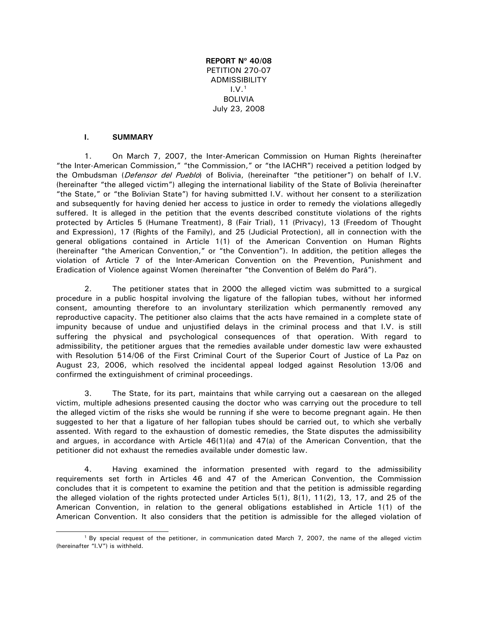**REPORT Nº 40/08**  PETITION 270-07 **ADMISSIBILITY**  $1. V<sup>1</sup>$  $1. V<sup>1</sup>$ BOLIVIA July 23, 2008

#### **I. SUMMARY**

1. On March 7, 2007, the Inter-American Commission on Human Rights (hereinafter "the Inter-American Commission," "the Commission," or "the IACHR") received a petition lodged by the Ombudsman (Defensor del Pueblo) of Bolivia, (hereinafter "the petitioner") on behalf of I.V. (hereinafter "the alleged victim") alleging the international liability of the State of Bolivia (hereinafter "the State," or "the Bolivian State") for having submitted I.V. without her consent to a sterilization and subsequently for having denied her access to justice in order to remedy the violations allegedly suffered. It is alleged in the petition that the events described constitute violations of the rights protected by Articles 5 (Humane Treatment), 8 (Fair Trial), 11 (Privacy), 13 (Freedom of Thought and Expression), 17 (Rights of the Family), and 25 (Judicial Protection), all in connection with the general obligations contained in Article 1(1) of the American Convention on Human Rights (hereinafter "the American Convention," or "the Convention"). In addition, the petition alleges the violation of Article 7 of the Inter-American Convention on the Prevention, Punishment and Eradication of Violence against Women (hereinafter "the Convention of Belém do Pará").

2. The petitioner states that in 2000 the alleged victim was submitted to a surgical procedure in a public hospital involving the ligature of the fallopian tubes, without her informed consent, amounting therefore to an involuntary sterilization which permanently removed any reproductive capacity. The petitioner also claims that the acts have remained in a complete state of impunity because of undue and unjustified delays in the criminal process and that I.V. is still suffering the physical and psychological consequences of that operation. With regard to admissibility, the petitioner argues that the remedies available under domestic law were exhausted with Resolution 514/06 of the First Criminal Court of the Superior Court of Justice of La Paz on August 23, 2006, which resolved the incidental appeal lodged against Resolution 13/06 and confirmed the extinguishment of criminal proceedings.

3. The State, for its part, maintains that while carrying out a caesarean on the alleged victim, multiple adhesions presented causing the doctor who was carrying out the procedure to tell the alleged victim of the risks she would be running if she were to become pregnant again. He then suggested to her that a ligature of her fallopian tubes should be carried out, to which she verbally assented. With regard to the exhaustion of domestic remedies, the State disputes the admissibility and argues, in accordance with Article 46(1)(a) and 47(a) of the American Convention, that the petitioner did not exhaust the remedies available under domestic law.

4. Having examined the information presented with regard to the admissibility requirements set forth in Articles 46 and 47 of the American Convention, the Commission concludes that it is competent to examine the petition and that the petition is admissible regarding the alleged violation of the rights protected under Articles 5(1), 8(1), 11(2), 13, 17, and 25 of the American Convention, in relation to the general obligations established in Article 1(1) of the American Convention. It also considers that the petition is admissible for the alleged violation of

<span id="page-0-0"></span> <sup>1</sup> By special request of the petitioner, in communication dated March 7, 2007, the name of the alleged victim (hereinafter "I.V") is withheld.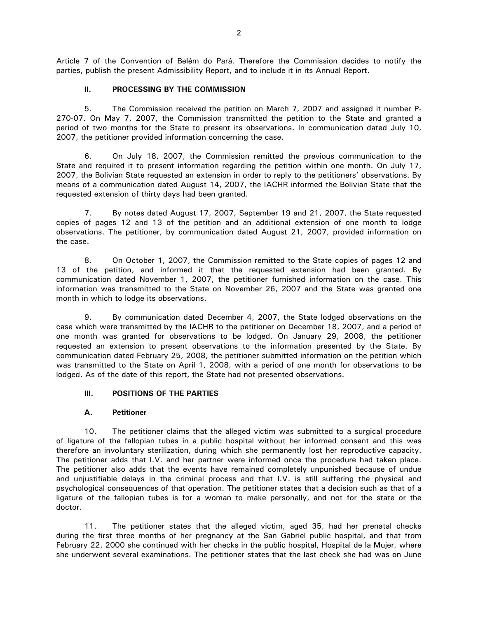Article 7 of the Convention of Belém do Pará. Therefore the Commission decides to notify the parties, publish the present Admissibility Report, and to include it in its Annual Report.

### **II. PROCESSING BY THE COMMISSION**

5. The Commission received the petition on March 7, 2007 and assigned it number P-270-07. On May 7, 2007, the Commission transmitted the petition to the State and granted a period of two months for the State to present its observations. In communication dated July 10, 2007, the petitioner provided information concerning the case.

6. On July 18, 2007, the Commission remitted the previous communication to the State and required it to present information regarding the petition within one month. On July 17, 2007, the Bolivian State requested an extension in order to reply to the petitioners' observations. By means of a communication dated August 14, 2007, the IACHR informed the Bolivian State that the requested extension of thirty days had been granted.

7. By notes dated August 17, 2007, September 19 and 21, 2007, the State requested copies of pages 12 and 13 of the petition and an additional extension of one month to lodge observations. The petitioner, by communication dated August 21, 2007, provided information on the case.

8. On October 1, 2007, the Commission remitted to the State copies of pages 12 and 13 of the petition, and informed it that the requested extension had been granted. By communication dated November 1, 2007, the petitioner furnished information on the case. This information was transmitted to the State on November 26, 2007 and the State was granted one month in which to lodge its observations.

9. By communication dated December 4, 2007, the State lodged observations on the case which were transmitted by the IACHR to the petitioner on December 18, 2007, and a period of one month was granted for observations to be lodged. On January 29, 2008, the petitioner requested an extension to present observations to the information presented by the State. By communication dated February 25, 2008, the petitioner submitted information on the petition which was transmitted to the State on April 1, 2008, with a period of one month for observations to be lodged. As of the date of this report, the State had not presented observations.

### **III. POSITIONS OF THE PARTIES**

### **A. Petitioner**

10. The petitioner claims that the alleged victim was submitted to a surgical procedure of ligature of the fallopian tubes in a public hospital without her informed consent and this was therefore an involuntary sterilization, during which she permanently lost her reproductive capacity. The petitioner adds that I.V. and her partner were informed once the procedure had taken place. The petitioner also adds that the events have remained completely unpunished because of undue and unjustifiable delays in the criminal process and that I.V. is still suffering the physical and psychological consequences of that operation. The petitioner states that a decision such as that of a ligature of the fallopian tubes is for a woman to make personally, and not for the state or the doctor.

11. The petitioner states that the alleged victim, aged 35, had her prenatal checks during the first three months of her pregnancy at the San Gabriel public hospital, and that from February 22, 2000 she continued with her checks in the public hospital, Hospital de la Mujer, where she underwent several examinations. The petitioner states that the last check she had was on June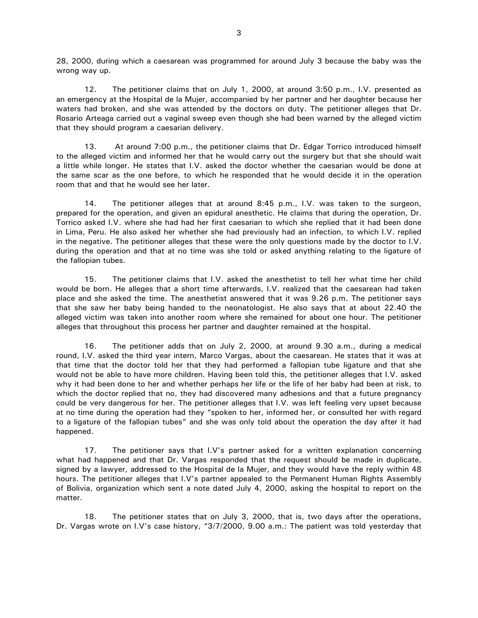28, 2000, during which a caesarean was programmed for around July 3 because the baby was the wrong way up.

12. The petitioner claims that on July 1, 2000, at around 3:50 p.m., I.V. presented as an emergency at the Hospital de la Mujer, accompanied by her partner and her daughter because her waters had broken, and she was attended by the doctors on duty. The petitioner alleges that Dr. Rosario Arteaga carried out a vaginal sweep even though she had been warned by the alleged victim that they should program a caesarian delivery.

13. At around 7:00 p.m., the petitioner claims that Dr. Edgar Torrico introduced himself to the alleged victim and informed her that he would carry out the surgery but that she should wait a little while longer. He states that I.V. asked the doctor whether the caesarian would be done at the same scar as the one before, to which he responded that he would decide it in the operation room that and that he would see her later.

14. The petitioner alleges that at around 8:45 p.m., I.V. was taken to the surgeon, prepared for the operation, and given an epidural anesthetic. He claims that during the operation, Dr. Torrico asked I.V. where she had had her first caesarian to which she replied that it had been done in Lima, Peru. He also asked her whether she had previously had an infection, to which I.V. replied in the negative. The petitioner alleges that these were the only questions made by the doctor to I.V. during the operation and that at no time was she told or asked anything relating to the ligature of the fallopian tubes.

15. The petitioner claims that I.V. asked the anesthetist to tell her what time her child would be born. He alleges that a short time afterwards, I.V. realized that the caesarean had taken place and she asked the time. The anesthetist answered that it was 9.26 p.m. The petitioner says that she saw her baby being handed to the neonatologist. He also says that at about 22.40 the alleged victim was taken into another room where she remained for about one hour. The petitioner alleges that throughout this process her partner and daughter remained at the hospital.

16. The petitioner adds that on July 2, 2000, at around 9.30 a.m., during a medical round, I.V. asked the third year intern, Marco Vargas, about the caesarean. He states that it was at that time that the doctor told her that they had performed a fallopian tube ligature and that she would not be able to have more children. Having been told this, the petitioner alleges that I.V. asked why it had been done to her and whether perhaps her life or the life of her baby had been at risk, to which the doctor replied that no, they had discovered many adhesions and that a future pregnancy could be very dangerous for her. The petitioner alleges that I.V. was left feeling very upset because at no time during the operation had they "spoken to her, informed her, or consulted her with regard to a ligature of the fallopian tubes" and she was only told about the operation the day after it had happened.

17. The petitioner says that I.V's partner asked for a written explanation concerning what had happened and that Dr. Vargas responded that the request should be made in duplicate, signed by a lawyer, addressed to the Hospital de la Mujer, and they would have the reply within 48 hours. The petitioner alleges that I.V's partner appealed to the Permanent Human Rights Assembly of Bolivia, organization which sent a note dated July 4, 2000, asking the hospital to report on the matter.

18. The petitioner states that on July 3, 2000, that is, two days after the operations, Dr. Vargas wrote on I.V's case history, "3/7/2000, 9.00 a.m.: The patient was told yesterday that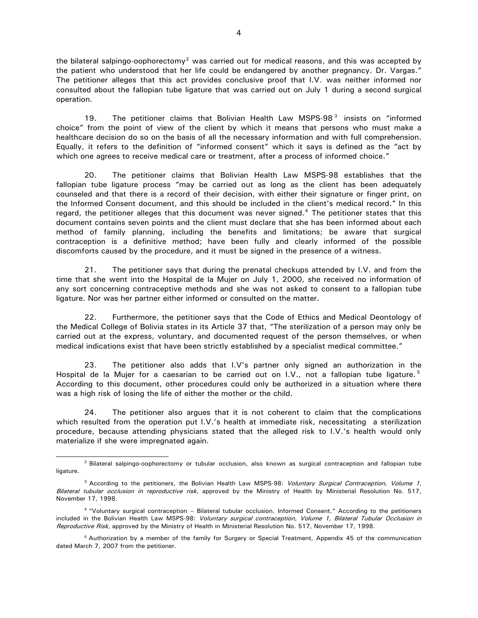the bilateral salpingo-oophorectomy<sup>[2](#page-3-0)</sup> was carried out for medical reasons, and this was accepted by the patient who understood that her life could be endangered by another pregnancy. Dr. Vargas." The petitioner alleges that this act provides conclusive proof that I.V. was neither informed nor consulted about the fallopian tube ligature that was carried out on July 1 during a second surgical operation.

19. The petitioner claims that Bolivian Health Law MSPS-98 $<sup>3</sup>$  $<sup>3</sup>$  $<sup>3</sup>$  insists on "informed</sup> choice" from the point of view of the client by which it means that persons who must make a healthcare decision do so on the basis of all the necessary information and with full comprehension. Equally, it refers to the definition of "informed consent" which it says is defined as the "act by which one agrees to receive medical care or treatment, after a process of informed choice."

20. The petitioner claims that Bolivian Health Law MSPS-98 establishes that the fallopian tube ligature process "may be carried out as long as the client has been adequately counseled and that there is a record of their decision, with either their signature or finger print, on the Informed Consent document, and this should be included in the client's medical record." In this regard, the petitioner alleges that this document was never signed. $4$  The petitioner states that this document contains seven points and the client must declare that she has been informed about each method of family planning, including the benefits and limitations; be aware that surgical contraception is a definitive method; have been fully and clearly informed of the possible discomforts caused by the procedure, and it must be signed in the presence of a witness.

21. The petitioner says that during the prenatal checkups attended by I.V. and from the time that she went into the Hospital de la Mujer on July 1, 2000, she received no information of any sort concerning contraceptive methods and she was not asked to consent to a fallopian tube ligature. Nor was her partner either informed or consulted on the matter.

22. Furthermore, the petitioner says that the Code of Ethics and Medical Deontology of the Medical College of Bolivia states in its Article 37 that, "The sterilization of a person may only be carried out at the express, voluntary, and documented request of the person themselves, or when medical indications exist that have been strictly established by a specialist medical committee."

23. The petitioner also adds that I.V's partner only signed an authorization in the Hospital de la Mujer for a caesarian to be carried out on I.V., not a fallopian tube ligature.<sup>[5](#page-3-3)</sup> According to this document, other procedures could only be authorized in a situation where there was a high risk of losing the life of either the mother or the child.

24. The petitioner also argues that it is not coherent to claim that the complications which resulted from the operation put I.V.'s health at immediate risk, necessitating a sterilization procedure, because attending physicians stated that the alleged risk to I.V.'s health would only materialize if she were impregnated again.

<span id="page-3-0"></span><sup>&</sup>lt;sup>2</sup> Bilateral salpingo-oophorectomy or tubular occlusion, also known as surgical contraception and fallopian tube ligature.

<span id="page-3-1"></span><sup>&</sup>lt;sup>3</sup> According to the petitioners, the Bolivian Health Law MSPS-98: Voluntary Surgical Contraception, Volume 1, Bilateral tubular occlusion in reproductive risk, approved by the Ministry of Health by Ministerial Resolution No. 517, November 17, 1998.

<span id="page-3-2"></span><sup>4 &</sup>quot;Voluntary surgical contraception – Bilateral tubular occlusion. Informed Consent." According to the petitioners included in the Bolivian Health Law MSPS-98: Voluntary surgical contraception, Volume 1, Bilateral Tubular Occlusion in Reproductive Risk, approved by the Ministry of Health in Ministerial Resolution No. 517, November 17, 1998.

<span id="page-3-3"></span><sup>5</sup> Authorization by a member of the family for Surgery or Special Treatment, Appendix 45 of the communication dated March 7, 2007 from the petitioner.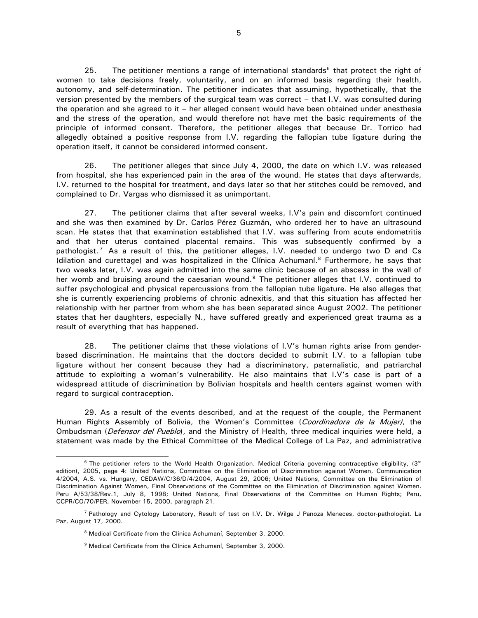25. The petitioner mentions a range of international standards<sup>[6](#page-4-0)</sup> that protect the right of women to take decisions freely, voluntarily, and on an informed basis regarding their health, autonomy, and self-determination. The petitioner indicates that assuming, hypothetically, that the version presented by the members of the surgical team was correct – that I.V. was consulted during the operation and she agreed to it – her alleged consent would have been obtained under anesthesia and the stress of the operation, and would therefore not have met the basic requirements of the principle of informed consent. Therefore, the petitioner alleges that because Dr. Torrico had allegedly obtained a positive response from I.V. regarding the fallopian tube ligature during the operation itself, it cannot be considered informed consent.

26. The petitioner alleges that since July 4, 2000, the date on which I.V. was released from hospital, she has experienced pain in the area of the wound. He states that days afterwards, I.V. returned to the hospital for treatment, and days later so that her stitches could be removed, and complained to Dr. Vargas who dismissed it as unimportant.

27. The petitioner claims that after several weeks, I.V's pain and discomfort continued and she was then examined by Dr. Carlos Pérez Guzmán, who ordered her to have an ultrasound scan. He states that that examination established that I.V. was suffering from acute endometritis and that her uterus contained placental remains. This was subsequently confirmed by a pathologist.<sup>[7](#page-4-1)</sup> As a result of this, the petitioner alleges, I.V. needed to undergo two D and Cs (dilation and curettage) and was hospitalized in the Clínica Achumaní.<sup>8</sup> Furthermore, he says that two weeks later, I.V. was again admitted into the same clinic because of an abscess in the wall of her womb and bruising around the caesarian wound. $9$  The petitioner alleges that I.V. continued to suffer psychological and physical repercussions from the fallopian tube ligature. He also alleges that she is currently experiencing problems of chronic adnexitis, and that this situation has affected her relationship with her partner from whom she has been separated since August 2002. The petitioner states that her daughters, especially N., have suffered greatly and experienced great trauma as a result of everything that has happened.

28. The petitioner claims that these violations of I.V's human rights arise from genderbased discrimination. He maintains that the doctors decided to submit I.V. to a fallopian tube ligature without her consent because they had a discriminatory, paternalistic, and patriarchal attitude to exploiting a woman's vulnerability. He also maintains that I.V's case is part of a widespread attitude of discrimination by Bolivian hospitals and health centers against women with regard to surgical contraception.

29. As a result of the events described, and at the request of the couple, the Permanent Human Rights Assembly of Bolivia, the Women's Committee (Coordinadora de la Mujer), the Ombudsman (Defensor del Pueblo), and the Ministry of Health, three medical inquiries were held, a statement was made by the Ethical Committee of the Medical College of La Paz, and administrative

<span id="page-4-0"></span> $6$  The petitioner refers to the World Health Organization. Medical Criteria governing contraceptive eligibility,  $(3^{rd}$ edition), 2005, page 4: United Nations, Committee on the Elimination of Discrimination against Women, Communication 4/2004, A.S. vs. Hungary, CEDAW/C/36/D/4/2004, August 29, 2006; United Nations, Committee on the Elimination of Discrimination Against Women, Final Observations of the Committee on the Elimination of Discrimination against Women. Peru A/53/38/Rev.1, July 8, 1998; United Nations, Final Observations of the Committee on Human Rights; Peru, CCPR/CO/70/PER, November 15, 2000, paragraph 21.

<span id="page-4-3"></span><span id="page-4-2"></span><span id="page-4-1"></span><sup>7</sup> Pathology and Cytology Laboratory, Result of test on I.V. Dr. Wilge J Panoza Meneces, doctor-pathologist. La Paz, August 17, 2000.

<sup>&</sup>lt;sup>8</sup> Medical Certificate from the Clínica Achumaní, September 3, 2000.

<sup>&</sup>lt;sup>9</sup> Medical Certificate from the Clínica Achumaní, September 3, 2000.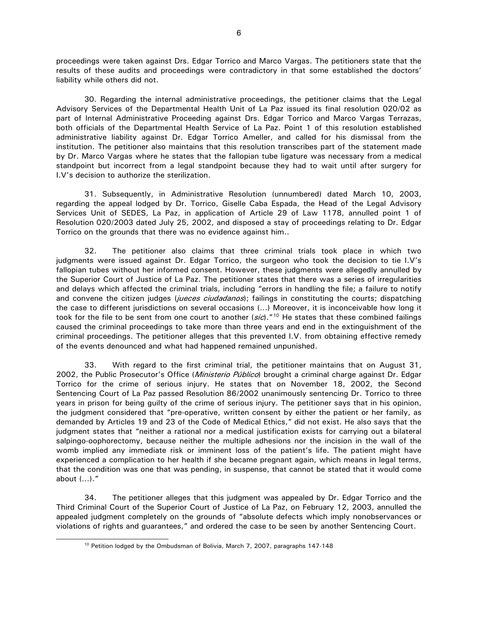proceedings were taken against Drs. Edgar Torrico and Marco Vargas. The petitioners state that the results of these audits and proceedings were contradictory in that some established the doctors' liability while others did not.

30. Regarding the internal administrative proceedings, the petitioner claims that the Legal Advisory Services of the Departmental Health Unit of La Paz issued its final resolution 020/02 as part of Internal Administrative Proceeding against Drs. Edgar Torrico and Marco Vargas Terrazas, both officials of the Departmental Health Service of La Paz. Point 1 of this resolution established administrative liability against Dr. Edgar Torrico Ameller, and called for his dismissal from the institution. The petitioner also maintains that this resolution transcribes part of the statement made by Dr. Marco Vargas where he states that the fallopian tube ligature was necessary from a medical standpoint but incorrect from a legal standpoint because they had to wait until after surgery for I.V's decision to authorize the sterilization.

31. Subsequently, in Administrative Resolution (unnumbered) dated March 10, 2003, regarding the appeal lodged by Dr. Torrico, Giselle Caba Espada, the Head of the Legal Advisory Services Unit of SEDES, La Paz, in application of Article 29 of Law 1178, annulled point 1 of Resolution 020/2003 dated July 25, 2002, and disposed a stay of proceedings relating to Dr. Edgar Torrico on the grounds that there was no evidence against him..

32. The petitioner also claims that three criminal trials took place in which two judgments were issued against Dr. Edgar Torrico, the surgeon who took the decision to tie I.V's fallopian tubes without her informed consent. However, these judgments were allegedly annulled by the Superior Court of Justice of La Paz. The petitioner states that there was a series of irregularities and delays which affected the criminal trials, including "errors in handling the file; a failure to notify and convene the citizen judges (*jueces ciudadanos*); failings in constituting the courts; dispatching the case to different jurisdictions on several occasions (…) Moreover, it is inconceivable how long it took for the file to be sent from one court to another  $(sic)$ ."<sup>[10](#page-5-0)</sup> He states that these combined failings caused the criminal proceedings to take more than three years and end in the extinguishment of the criminal proceedings. The petitioner alleges that this prevented I.V. from obtaining effective remedy of the events denounced and what had happened remained unpunished.

33. With regard to the first criminal trial, the petitioner maintains that on August 31, 2002, the Public Prosecutor's Office (*Ministerio Público*) brought a criminal charge against Dr. Edgar Torrico for the crime of serious injury. He states that on November 18, 2002, the Second Sentencing Court of La Paz passed Resolution 86/2002 unanimously sentencing Dr. Torrico to three years in prison for being guilty of the crime of serious injury. The petitioner says that in his opinion, the judgment considered that "pre-operative, written consent by either the patient or her family, as demanded by Articles 19 and 23 of the Code of Medical Ethics," did not exist. He also says that the judgment states that "neither a rational nor a medical justification exists for carrying out a bilateral salpingo-oophorectomy, because neither the multiple adhesions nor the incision in the wall of the womb implied any immediate risk or imminent loss of the patient's life. The patient might have experienced a complication to her health if she became pregnant again, which means in legal terms, that the condition was one that was pending, in suspense, that cannot be stated that it would come about (…)."

<span id="page-5-0"></span>34. The petitioner alleges that this judgment was appealed by Dr. Edgar Torrico and the Third Criminal Court of the Superior Court of Justice of La Paz, on February 12, 2003, annulled the appealed judgment completely on the grounds of "absolute defects which imply nonobservances or violations of rights and guarantees," and ordered the case to be seen by another Sentencing Court.

<sup>&</sup>lt;sup>10</sup> Petition lodged by the Ombudsman of Bolivia, March 7, 2007, paragraphs 147-148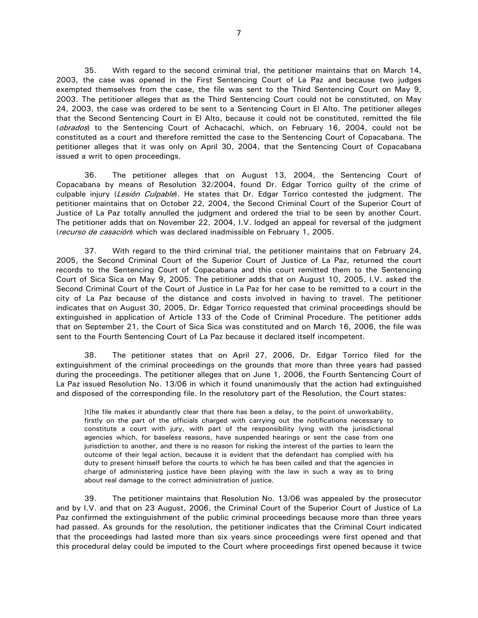35. With regard to the second criminal trial, the petitioner maintains that on March 14, 2003, the case was opened in the First Sentencing Court of La Paz and because two judges exempted themselves from the case, the file was sent to the Third Sentencing Court on May 9, 2003. The petitioner alleges that as the Third Sentencing Court could not be constituted, on May 24, 2003, the case was ordered to be sent to a Sentencing Court in El Alto. The petitioner alleges that the Second Sentencing Court in El Alto, because it could not be constituted, remitted the file (obrados) to the Sentencing Court of Achacachí, which, on February 16, 2004, could not be constituted as a court and therefore remitted the case to the Sentencing Court of Copacabana. The petitioner alleges that it was only on April 30, 2004, that the Sentencing Court of Copacabana issued a writ to open proceedings.

36. The petitioner alleges that on August 13, 2004, the Sentencing Court of Copacabana by means of Resolution 32/2004, found Dr. Edgar Torrico guilty of the crime of culpable injury (Lesión Culpable). He states that Dr. Edgar Torrico contested the judgment. The petitioner maintains that on October 22, 2004, the Second Criminal Court of the Superior Court of Justice of La Paz totally annulled the judgment and ordered the trial to be seen by another Court. The petitioner adds that on November 22, 2004, I.V. lodged an appeal for reversal of the judgment (recurso de casación) which was declared inadmissible on February 1, 2005.

37. With regard to the third criminal trial, the petitioner maintains that on February 24, 2005, the Second Criminal Court of the Superior Court of Justice of La Paz, returned the court records to the Sentencing Court of Copacabana and this court remitted them to the Sentencing Court of Sica Sica on May 9, 2005. The petitioner adds that on August 10, 2005, I.V. asked the Second Criminal Court of the Court of Justice in La Paz for her case to be remitted to a court in the city of La Paz because of the distance and costs involved in having to travel. The petitioner indicates that on August 30, 2005, Dr. Edgar Torrico requested that criminal proceedings should be extinguished in application of Article 133 of the Code of Criminal Procedure. The petitioner adds that on September 21, the Court of Sica Sica was constituted and on March 16, 2006, the file was sent to the Fourth Sentencing Court of La Paz because it declared itself incompetent.

38. The petitioner states that on April 27, 2006, Dr. Edgar Torrico filed for the extinguishment of the criminal proceedings on the grounds that more than three years had passed during the proceedings. The petitioner alleges that on June 1, 2006, the Fourth Sentencing Court of La Paz issued Resolution No. 13/06 in which it found unanimously that the action had extinguished and disposed of the corresponding file. In the resolutory part of the Resolution, the Court states:

[t]he file makes it abundantly clear that there has been a delay, to the point of unworkability, firstly on the part of the officials charged with carrying out the notifications necessary to constitute a court with jury, with part of the responsibility lying with the jurisdictional agencies which, for baseless reasons, have suspended hearings or sent the case from one jurisdiction to another, and there is no reason for risking the interest of the parties to learn the outcome of their legal action, because it is evident that the defendant has complied with his duty to present himself before the courts to which he has been called and that the agencies in charge of administering justice have been playing with the law in such a way as to bring about real damage to the correct administration of justice.

39. The petitioner maintains that Resolution No. 13/06 was appealed by the prosecutor and by I.V. and that on 23 August, 2006, the Criminal Court of the Superior Court of Justice of La Paz confirmed the extinguishment of the public criminal proceedings because more than three years had passed. As grounds for the resolution, the petitioner indicates that the Criminal Court indicated that the proceedings had lasted more than six years since proceedings were first opened and that this procedural delay could be imputed to the Court where proceedings first opened because it twice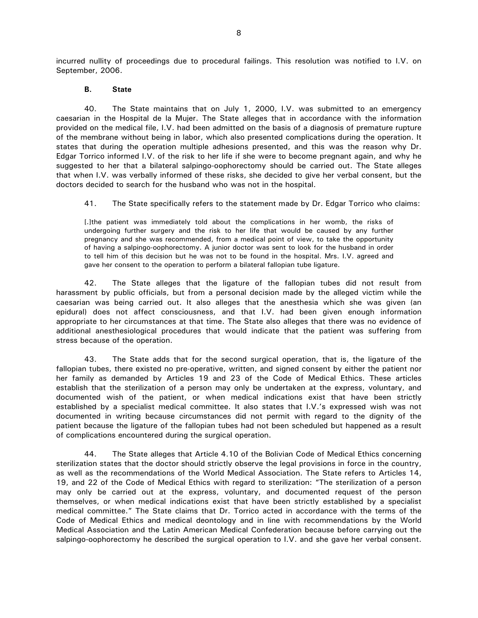incurred nullity of proceedings due to procedural failings. This resolution was notified to I.V. on September, 2006.

#### **B. State**

40. The State maintains that on July 1, 2000, I.V. was submitted to an emergency caesarian in the Hospital de la Mujer. The State alleges that in accordance with the information provided on the medical file, I.V. had been admitted on the basis of a diagnosis of premature rupture of the membrane without being in labor, which also presented complications during the operation. It states that during the operation multiple adhesions presented, and this was the reason why Dr. Edgar Torrico informed I.V. of the risk to her life if she were to become pregnant again, and why he suggested to her that a bilateral salpingo-oophorectomy should be carried out. The State alleges that when I.V. was verbally informed of these risks, she decided to give her verbal consent, but the doctors decided to search for the husband who was not in the hospital.

41. The State specifically refers to the statement made by Dr. Edgar Torrico who claims:

[.]the patient was immediately told about the complications in her womb, the risks of undergoing further surgery and the risk to her life that would be caused by any further pregnancy and she was recommended, from a medical point of view, to take the opportunity of having a salpingo-oophorectomy. A junior doctor was sent to look for the husband in order to tell him of this decision but he was not to be found in the hospital. Mrs. I.V. agreed and gave her consent to the operation to perform a bilateral fallopian tube ligature.

42. The State alleges that the ligature of the fallopian tubes did not result from harassment by public officials, but from a personal decision made by the alleged victim while the caesarian was being carried out. It also alleges that the anesthesia which she was given (an epidural) does not affect consciousness, and that I.V. had been given enough information appropriate to her circumstances at that time. The State also alleges that there was no evidence of additional anesthesiological procedures that would indicate that the patient was suffering from stress because of the operation.

43. The State adds that for the second surgical operation, that is, the ligature of the fallopian tubes, there existed no pre-operative, written, and signed consent by either the patient nor her family as demanded by Articles 19 and 23 of the Code of Medical Ethics. These articles establish that the sterilization of a person may only be undertaken at the express, voluntary, and documented wish of the patient, or when medical indications exist that have been strictly established by a specialist medical committee. It also states that I.V.'s expressed wish was not documented in writing because circumstances did not permit with regard to the dignity of the patient because the ligature of the fallopian tubes had not been scheduled but happened as a result of complications encountered during the surgical operation.

44. The State alleges that Article 4.10 of the Bolivian Code of Medical Ethics concerning sterilization states that the doctor should strictly observe the legal provisions in force in the country, as well as the recommendations of the World Medical Association. The State refers to Articles 14, 19, and 22 of the Code of Medical Ethics with regard to sterilization: "The sterilization of a person may only be carried out at the express, voluntary, and documented request of the person themselves, or when medical indications exist that have been strictly established by a specialist medical committee." The State claims that Dr. Torrico acted in accordance with the terms of the Code of Medical Ethics and medical deontology and in line with recommendations by the World Medical Association and the Latin American Medical Confederation because before carrying out the salpingo-oophorectomy he described the surgical operation to I.V. and she gave her verbal consent.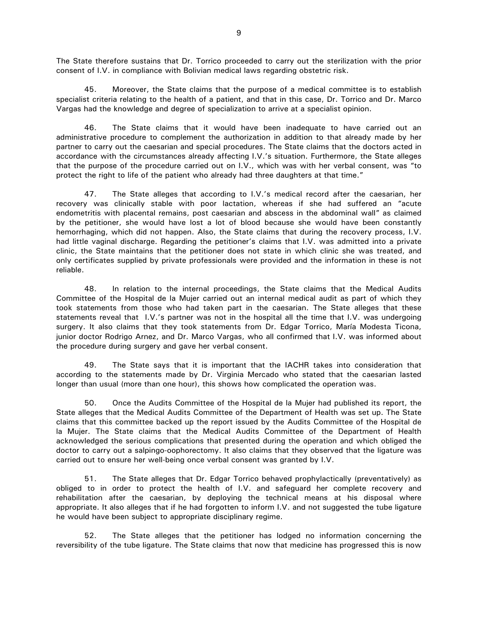The State therefore sustains that Dr. Torrico proceeded to carry out the sterilization with the prior consent of I.V. in compliance with Bolivian medical laws regarding obstetric risk.

45. Moreover, the State claims that the purpose of a medical committee is to establish specialist criteria relating to the health of a patient, and that in this case, Dr. Torrico and Dr. Marco Vargas had the knowledge and degree of specialization to arrive at a specialist opinion.

46. The State claims that it would have been inadequate to have carried out an administrative procedure to complement the authorization in addition to that already made by her partner to carry out the caesarian and special procedures. The State claims that the doctors acted in accordance with the circumstances already affecting I.V.'s situation. Furthermore, the State alleges that the purpose of the procedure carried out on I.V., which was with her verbal consent, was "to protect the right to life of the patient who already had three daughters at that time."

47. The State alleges that according to I.V.'s medical record after the caesarian, her recovery was clinically stable with poor lactation, whereas if she had suffered an "acute endometritis with placental remains, post caesarian and abscess in the abdominal wall" as claimed by the petitioner, she would have lost a lot of blood because she would have been constantly hemorrhaging, which did not happen. Also, the State claims that during the recovery process, I.V. had little vaginal discharge. Regarding the petitioner's claims that I.V. was admitted into a private clinic, the State maintains that the petitioner does not state in which clinic she was treated, and only certificates supplied by private professionals were provided and the information in these is not reliable.

48. In relation to the internal proceedings, the State claims that the Medical Audits Committee of the Hospital de la Mujer carried out an internal medical audit as part of which they took statements from those who had taken part in the caesarian. The State alleges that these statements reveal that I.V.'s partner was not in the hospital all the time that I.V. was undergoing surgery. It also claims that they took statements from Dr. Edgar Torrico, María Modesta Ticona, junior doctor Rodrigo Arnez, and Dr. Marco Vargas, who all confirmed that I.V. was informed about the procedure during surgery and gave her verbal consent.

49. The State says that it is important that the IACHR takes into consideration that according to the statements made by Dr. Virginia Mercado who stated that the caesarian lasted longer than usual (more than one hour), this shows how complicated the operation was.

50. Once the Audits Committee of the Hospital de la Mujer had published its report, the State alleges that the Medical Audits Committee of the Department of Health was set up. The State claims that this committee backed up the report issued by the Audits Committee of the Hospital de la Mujer. The State claims that the Medical Audits Committee of the Department of Health acknowledged the serious complications that presented during the operation and which obliged the doctor to carry out a salpingo-oophorectomy. It also claims that they observed that the ligature was carried out to ensure her well-being once verbal consent was granted by I.V.

51. The State alleges that Dr. Edgar Torrico behaved prophylactically (preventatively) as obliged to in order to protect the health of I.V. and safeguard her complete recovery and rehabilitation after the caesarian, by deploying the technical means at his disposal where appropriate. It also alleges that if he had forgotten to inform I.V. and not suggested the tube ligature he would have been subject to appropriate disciplinary regime.

52. The State alleges that the petitioner has lodged no information concerning the reversibility of the tube ligature. The State claims that now that medicine has progressed this is now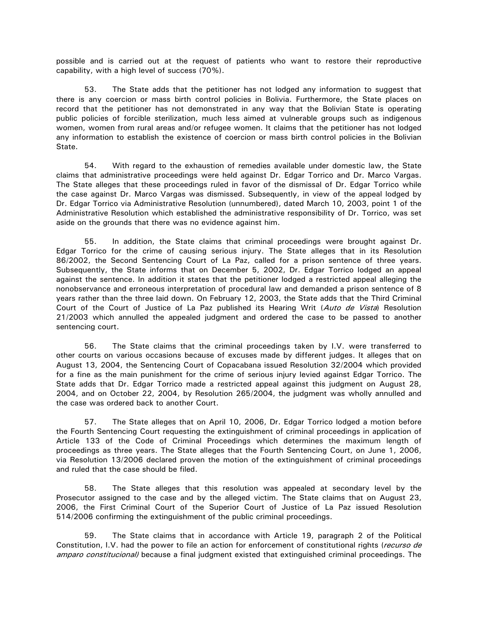possible and is carried out at the request of patients who want to restore their reproductive capability, with a high level of success (70%).

53. The State adds that the petitioner has not lodged any information to suggest that there is any coercion or mass birth control policies in Bolivia. Furthermore, the State places on record that the petitioner has not demonstrated in any way that the Bolivian State is operating public policies of forcible sterilization, much less aimed at vulnerable groups such as indigenous women, women from rural areas and/or refugee women. It claims that the petitioner has not lodged any information to establish the existence of coercion or mass birth control policies in the Bolivian State.

54. With regard to the exhaustion of remedies available under domestic law, the State claims that administrative proceedings were held against Dr. Edgar Torrico and Dr. Marco Vargas. The State alleges that these proceedings ruled in favor of the dismissal of Dr. Edgar Torrico while the case against Dr. Marco Vargas was dismissed. Subsequently, in view of the appeal lodged by Dr. Edgar Torrico via Administrative Resolution (unnumbered), dated March 10, 2003, point 1 of the Administrative Resolution which established the administrative responsibility of Dr. Torrico, was set aside on the grounds that there was no evidence against him.

55. In addition, the State claims that criminal proceedings were brought against Dr. Edgar Torrico for the crime of causing serious injury. The State alleges that in its Resolution 86/2002, the Second Sentencing Court of La Paz, called for a prison sentence of three years. Subsequently, the State informs that on December 5, 2002, Dr. Edgar Torrico lodged an appeal against the sentence. In addition it states that the petitioner lodged a restricted appeal alleging the nonobservance and erroneous interpretation of procedural law and demanded a prison sentence of 8 years rather than the three laid down. On February 12, 2003, the State adds that the Third Criminal Court of the Court of Justice of La Paz published its Hearing Writ (Auto de Vista) Resolution 21/2003 which annulled the appealed judgment and ordered the case to be passed to another sentencing court.

56. The State claims that the criminal proceedings taken by I.V. were transferred to other courts on various occasions because of excuses made by different judges. It alleges that on August 13, 2004, the Sentencing Court of Copacabana issued Resolution 32/2004 which provided for a fine as the main punishment for the crime of serious injury levied against Edgar Torrico. The State adds that Dr. Edgar Torrico made a restricted appeal against this judgment on August 28, 2004, and on October 22, 2004, by Resolution 265/2004, the judgment was wholly annulled and the case was ordered back to another Court.

57. The State alleges that on April 10, 2006, Dr. Edgar Torrico lodged a motion before the Fourth Sentencing Court requesting the extinguishment of criminal proceedings in application of Article 133 of the Code of Criminal Proceedings which determines the maximum length of proceedings as three years. The State alleges that the Fourth Sentencing Court, on June 1, 2006, via Resolution 13/2006 declared proven the motion of the extinguishment of criminal proceedings and ruled that the case should be filed.

58. The State alleges that this resolution was appealed at secondary level by the Prosecutor assigned to the case and by the alleged victim. The State claims that on August 23, 2006, the First Criminal Court of the Superior Court of Justice of La Paz issued Resolution 514/2006 confirming the extinguishment of the public criminal proceedings.

59. The State claims that in accordance with Article 19, paragraph 2 of the Political Constitution, I.V. had the power to file an action for enforcement of constitutional rights (recurso de amparo constitucional) because a final judgment existed that extinguished criminal proceedings. The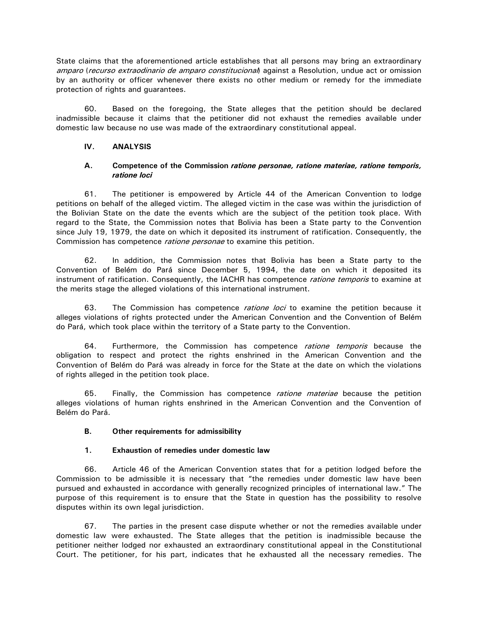State claims that the aforementioned article establishes that all persons may bring an extraordinary amparo (recurso extraodinario de amparo constitucional) against a Resolution, undue act or omission by an authority or officer whenever there exists no other medium or remedy for the immediate protection of rights and guarantees.

60. Based on the foregoing, the State alleges that the petition should be declared inadmissible because it claims that the petitioner did not exhaust the remedies available under domestic law because no use was made of the extraordinary constitutional appeal.

### **IV. ANALYSIS**

### **A. Competence of the Commission** *ratione personae, ratione materiae, ratione temporis, ratione loci*

61. The petitioner is empowered by Article 44 of the American Convention to lodge petitions on behalf of the alleged victim. The alleged victim in the case was within the jurisdiction of the Bolivian State on the date the events which are the subject of the petition took place. With regard to the State, the Commission notes that Bolivia has been a State party to the Convention since July 19, 1979, the date on which it deposited its instrument of ratification. Consequently, the Commission has competence *ratione personae* to examine this petition.

62. In addition, the Commission notes that Bolivia has been a State party to the Convention of Belém do Pará since December 5, 1994, the date on which it deposited its instrument of ratification. Consequently, the IACHR has competence *ratione temporis* to examine at the merits stage the alleged violations of this international instrument.

63. The Commission has competence *ratione loci* to examine the petition because it alleges violations of rights protected under the American Convention and the Convention of Belém do Pará, which took place within the territory of a State party to the Convention.

64. Furthermore, the Commission has competence *ratione temporis* because the obligation to respect and protect the rights enshrined in the American Convention and the Convention of Belém do Pará was already in force for the State at the date on which the violations of rights alleged in the petition took place.

65. Finally, the Commission has competence *ratione materiae* because the petition alleges violations of human rights enshrined in the American Convention and the Convention of Belém do Pará.

# **B. Other requirements for admissibility**

# **1. Exhaustion of remedies under domestic law**

66. Article 46 of the American Convention states that for a petition lodged before the Commission to be admissible it is necessary that "the remedies under domestic law have been pursued and exhausted in accordance with generally recognized principles of international law." The purpose of this requirement is to ensure that the State in question has the possibility to resolve disputes within its own legal jurisdiction.

67. The parties in the present case dispute whether or not the remedies available under domestic law were exhausted. The State alleges that the petition is inadmissible because the petitioner neither lodged nor exhausted an extraordinary constitutional appeal in the Constitutional Court. The petitioner, for his part, indicates that he exhausted all the necessary remedies. The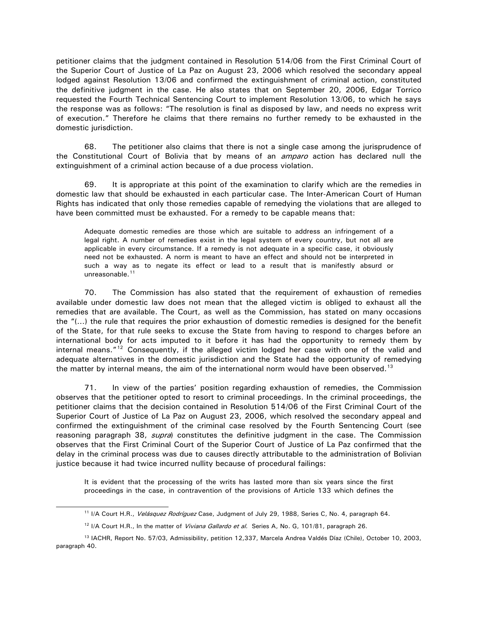petitioner claims that the judgment contained in Resolution 514/06 from the First Criminal Court of the Superior Court of Justice of La Paz on August 23, 2006 which resolved the secondary appeal lodged against Resolution 13/06 and confirmed the extinguishment of criminal action, constituted the definitive judgment in the case. He also states that on September 20, 2006, Edgar Torrico requested the Fourth Technical Sentencing Court to implement Resolution 13/06, to which he says the response was as follows: "The resolution is final as disposed by law, and needs no express writ of execution." Therefore he claims that there remains no further remedy to be exhausted in the domestic jurisdiction.

68. The petitioner also claims that there is not a single case among the jurisprudence of the Constitutional Court of Bolivia that by means of an *amparo* action has declared null the extinguishment of a criminal action because of a due process violation.

69. It is appropriate at this point of the examination to clarify which are the remedies in domestic law that should be exhausted in each particular case. The Inter-American Court of Human Rights has indicated that only those remedies capable of remedying the violations that are alleged to have been committed must be exhausted. For a remedy to be capable means that:

Adequate domestic remedies are those which are suitable to address an infringement of a legal right. A number of remedies exist in the legal system of every country, but not all are applicable in every circumstance. If a remedy is not adequate in a specific case, it obviously need not be exhausted. A norm is meant to have an effect and should not be interpreted in such a way as to negate its effect or lead to a result that is manifestly absurd or unreasonable.<sup>[11](#page-11-0)</sup>

70. The Commission has also stated that the requirement of exhaustion of remedies available under domestic law does not mean that the alleged victim is obliged to exhaust all the remedies that are available. The Court, as well as the Commission, has stated on many occasions the "(…) the rule that requires the prior exhaustion of domestic remedies is designed for the benefit of the State, for that rule seeks to excuse the State from having to respond to charges before an international body for acts imputed to it before it has had the opportunity to remedy them by internal means."<sup>[12](#page-11-1)</sup> Consequently, if the alleged victim lodged her case with one of the valid and adequate alternatives in the domestic jurisdiction and the State had the opportunity of remedying the matter by internal means, the aim of the international norm would have been observed.<sup>[13](#page-11-2)</sup>

71. In view of the parties' position regarding exhaustion of remedies, the Commission observes that the petitioner opted to resort to criminal proceedings. In the criminal proceedings, the petitioner claims that the decision contained in Resolution 514/06 of the First Criminal Court of the Superior Court of Justice of La Paz on August 23, 2006, which resolved the secondary appeal and confirmed the extinguishment of the criminal case resolved by the Fourth Sentencing Court (see reasoning paragraph 38, *supra*) constitutes the definitive judgment in the case. The Commission observes that the First Criminal Court of the Superior Court of Justice of La Paz confirmed that the delay in the criminal process was due to causes directly attributable to the administration of Bolivian justice because it had twice incurred nullity because of procedural failings:

It is evident that the processing of the writs has lasted more than six years since the first proceedings in the case, in contravention of the provisions of Article 133 which defines the

<sup>&</sup>lt;sup>11</sup> I/A Court H.R., Velásquez Rodríguez Case, Judgment of July 29, 1988, Series C, No. 4, paragraph 64.

<sup>&</sup>lt;sup>12</sup> I/A Court H.R., In the matter of *Viviana Gallardo et al.* Series A, No. G, 101/81, paragraph 26.

<span id="page-11-2"></span><span id="page-11-1"></span><span id="page-11-0"></span><sup>13</sup> IACHR, Report No. 57/03, Admissibility, petition 12,337, Marcela Andrea Valdés Díaz (Chile), October 10, 2003, paragraph 40.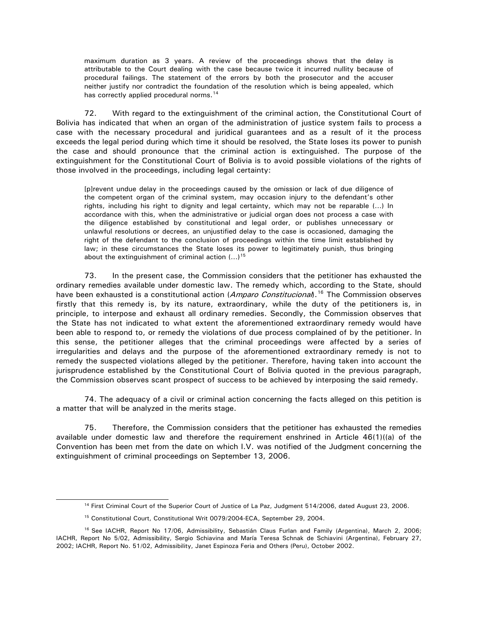maximum duration as 3 years. A review of the proceedings shows that the delay is attributable to the Court dealing with the case because twice it incurred nullity because of procedural failings. The statement of the errors by both the prosecutor and the accuser neither justify nor contradict the foundation of the resolution which is being appealed, which has correctly applied procedural norms.<sup>[14](#page-12-0)</sup>

72. With regard to the extinguishment of the criminal action, the Constitutional Court of Bolivia has indicated that when an organ of the administration of justice system fails to process a case with the necessary procedural and juridical guarantees and as a result of it the process exceeds the legal period during which time it should be resolved, the State loses its power to punish the case and should pronounce that the criminal action is extinguished. The purpose of the extinguishment for the Constitutional Court of Bolivia is to avoid possible violations of the rights of those involved in the proceedings, including legal certainty:

[p]revent undue delay in the proceedings caused by the omission or lack of due diligence of the competent organ of the criminal system, may occasion injury to the defendant's other rights, including his right to dignity and legal certainty, which may not be reparable (…) In accordance with this, when the administrative or judicial organ does not process a case with the diligence established by constitutional and legal order, or publishes unnecessary or unlawful resolutions or decrees, an unjustified delay to the case is occasioned, damaging the right of the defendant to the conclusion of proceedings within the time limit established by law; in these circumstances the State loses its power to legitimately punish, thus bringing about the extinguishment of criminal action  $(...)^{15}$  $(...)^{15}$  $(...)^{15}$ 

73. In the present case, the Commission considers that the petitioner has exhausted the ordinary remedies available under domestic law. The remedy which, according to the State, should have been exhausted is a constitutional action (Amparo Constitucional).<sup>[16](#page-12-2)</sup> The Commission observes firstly that this remedy is, by its nature, extraordinary, while the duty of the petitioners is, in principle, to interpose and exhaust all ordinary remedies. Secondly, the Commission observes that the State has not indicated to what extent the aforementioned extraordinary remedy would have been able to respond to, or remedy the violations of due process complained of by the petitioner. In this sense, the petitioner alleges that the criminal proceedings were affected by a series of irregularities and delays and the purpose of the aforementioned extraordinary remedy is not to remedy the suspected violations alleged by the petitioner. Therefore, having taken into account the jurisprudence established by the Constitutional Court of Bolivia quoted in the previous paragraph, the Commission observes scant prospect of success to be achieved by interposing the said remedy.

74. The adequacy of a civil or criminal action concerning the facts alleged on this petition is a matter that will be analyzed in the merits stage.

75. Therefore, the Commission considers that the petitioner has exhausted the remedies available under domestic law and therefore the requirement enshrined in Article 46(1)((a) of the Convention has been met from the date on which I.V. was notified of the Judgment concerning the extinguishment of criminal proceedings on September 13, 2006.

 <sup>14</sup> First Criminal Court of the Superior Court of Justice of La Paz, Judgment 514/2006, dated August 23, 2006.

<sup>&</sup>lt;sup>15</sup> Constitutional Court, Constitutional Writ 0079/2004-ECA, September 29, 2004.

<span id="page-12-2"></span><span id="page-12-1"></span><span id="page-12-0"></span><sup>&</sup>lt;sup>16</sup> See IACHR, Report No 17/06, Admissibility, Sebastián Claus Furlan and Family (Argentina), March 2, 2006; IACHR, Report No 5/02, Admissibility, Sergio Schiavina and María Teresa Schnak de Schiavini (Argentina), February 27, 2002; IACHR, Report No. 51/02, Admissibility, Janet Espinoza Feria and Others (Peru), October 2002.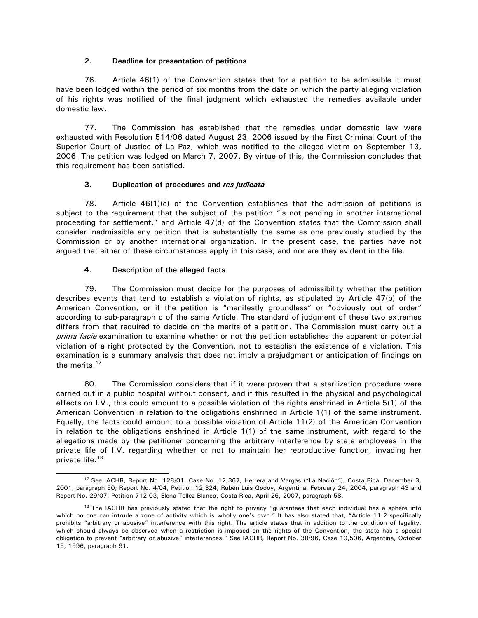### **2. Deadline for presentation of petitions**

76. Article 46(1) of the Convention states that for a petition to be admissible it must have been lodged within the period of six months from the date on which the party alleging violation of his rights was notified of the final judgment which exhausted the remedies available under domestic law.

77. The Commission has established that the remedies under domestic law were exhausted with Resolution 514/06 dated August 23, 2006 issued by the First Criminal Court of the Superior Court of Justice of La Paz, which was notified to the alleged victim on September 13, 2006. The petition was lodged on March 7, 2007. By virtue of this, the Commission concludes that this requirement has been satisfied.

# **3. Duplication of procedures and** *res judicata*

78. Article 46(1)(c) of the Convention establishes that the admission of petitions is subject to the requirement that the subject of the petition "is not pending in another international proceeding for settlement," and Article 47(d) of the Convention states that the Commission shall consider inadmissible any petition that is substantially the same as one previously studied by the Commission or by another international organization. In the present case, the parties have not argued that either of these circumstances apply in this case, and nor are they evident in the file.

# **4. Description of the alleged facts**

79. The Commission must decide for the purposes of admissibility whether the petition describes events that tend to establish a violation of rights, as stipulated by Article 47(b) of the American Convention, or if the petition is "manifestly groundless" or "obviously out of order" according to sub-paragraph c of the same Article. The standard of judgment of these two extremes differs from that required to decide on the merits of a petition. The Commission must carry out a prima facie examination to examine whether or not the petition establishes the apparent or potential violation of a right protected by the Convention, not to establish the existence of a violation. This examination is a summary analysis that does not imply a prejudgment or anticipation of findings on the merits.<sup>17</sup>

80. The Commission considers that if it were proven that a sterilization procedure were carried out in a public hospital without consent, and if this resulted in the physical and psychological effects on I.V., this could amount to a possible violation of the rights enshrined in Article 5(1) of the American Convention in relation to the obligations enshrined in Article 1(1) of the same instrument. Equally, the facts could amount to a possible violation of Article 11(2) of the American Convention in relation to the obligations enshrined in Article 1(1) of the same instrument, with regard to the allegations made by the petitioner concerning the arbitrary interference by state employees in the private life of I.V. regarding whether or not to maintain her reproductive function, invading her private life.<sup>18</sup>

<span id="page-13-0"></span> <sup>17</sup> See IACHR, Report No. 128/01, Case No. 12,367, Herrera and Vargas ("La Nación"), Costa Rica, December 3, 2001, paragraph 50; Report No. 4/04, Petition 12,324, Rubén Luis Godoy, Argentina, February 24, 2004, paragraph 43 and Report No. 29/07, Petition 712-03, Elena Tellez Blanco, Costa Rica, April 26, 2007, paragraph 58.

<span id="page-13-1"></span><sup>&</sup>lt;sup>18</sup> The IACHR has previously stated that the right to privacy "guarantees that each individual has a sphere into which no one can intrude a zone of activity which is wholly one's own." It has also stated that, "Article 11.2 specifically prohibits "arbitrary or abusive" interference with this right. The article states that in addition to the condition of legality, which should always be observed when a restriction is imposed on the rights of the Convention, the state has a special obligation to prevent "arbitrary or abusive" interferences." See IACHR, Report No. 38/96, Case 10,506, Argentina, October 15, 1996, paragraph 91.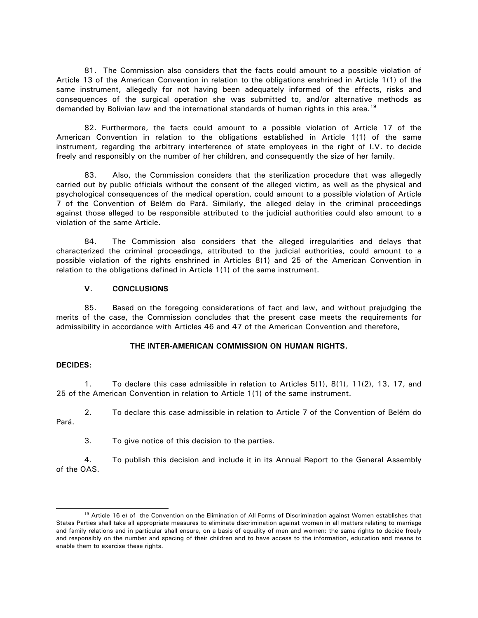81. The Commission also considers that the facts could amount to a possible violation of Article 13 of the American Convention in relation to the obligations enshrined in Article 1(1) of the same instrument, allegedly for not having been adequately informed of the effects, risks and consequences of the surgical operation she was submitted to, and/or alternative methods as demanded by Bolivian law and the international standards of human rights in this area.<sup>19</sup>

82. Furthermore, the facts could amount to a possible violation of Article 17 of the American Convention in relation to the obligations established in Article 1(1) of the same instrument, regarding the arbitrary interference of state employees in the right of I.V. to decide freely and responsibly on the number of her children, and consequently the size of her family.

83. Also, the Commission considers that the sterilization procedure that was allegedly carried out by public officials without the consent of the alleged victim, as well as the physical and psychological consequences of the medical operation, could amount to a possible violation of Article 7 of the Convention of Belém do Pará. Similarly, the alleged delay in the criminal proceedings against those alleged to be responsible attributed to the judicial authorities could also amount to a violation of the same Article.

84. The Commission also considers that the alleged irregularities and delays that characterized the criminal proceedings, attributed to the judicial authorities, could amount to a possible violation of the rights enshrined in Articles 8(1) and 25 of the American Convention in relation to the obligations defined in Article 1(1) of the same instrument.

### **V. CONCLUSIONS**

85. Based on the foregoing considerations of fact and law, and without prejudging the merits of the case, the Commission concludes that the present case meets the requirements for admissibility in accordance with Articles 46 and 47 of the American Convention and therefore,

### **THE INTER-AMERICAN COMMISSION ON HUMAN RIGHTS,**

### **DECIDES:**

1. To declare this case admissible in relation to Articles 5(1), 8(1), 11(2), 13, 17, and 25 of the American Convention in relation to Article 1(1) of the same instrument.

2. To declare this case admissible in relation to Article 7 of the Convention of Belém do Pará.

3. To give notice of this decision to the parties.

4. To publish this decision and include it in its Annual Report to the General Assembly of the OAS.

<span id="page-14-0"></span><sup>&</sup>lt;sup>19</sup> Article 16 e) of the Convention on the Elimination of All Forms of Discrimination against Women establishes that States Parties shall take all appropriate measures to eliminate discrimination against women in all matters relating to marriage and family relations and in particular shall ensure, on a basis of equality of men and women: the same rights to decide freely and responsibly on the number and spacing of their children and to have access to the information, education and means to enable them to exercise these rights.